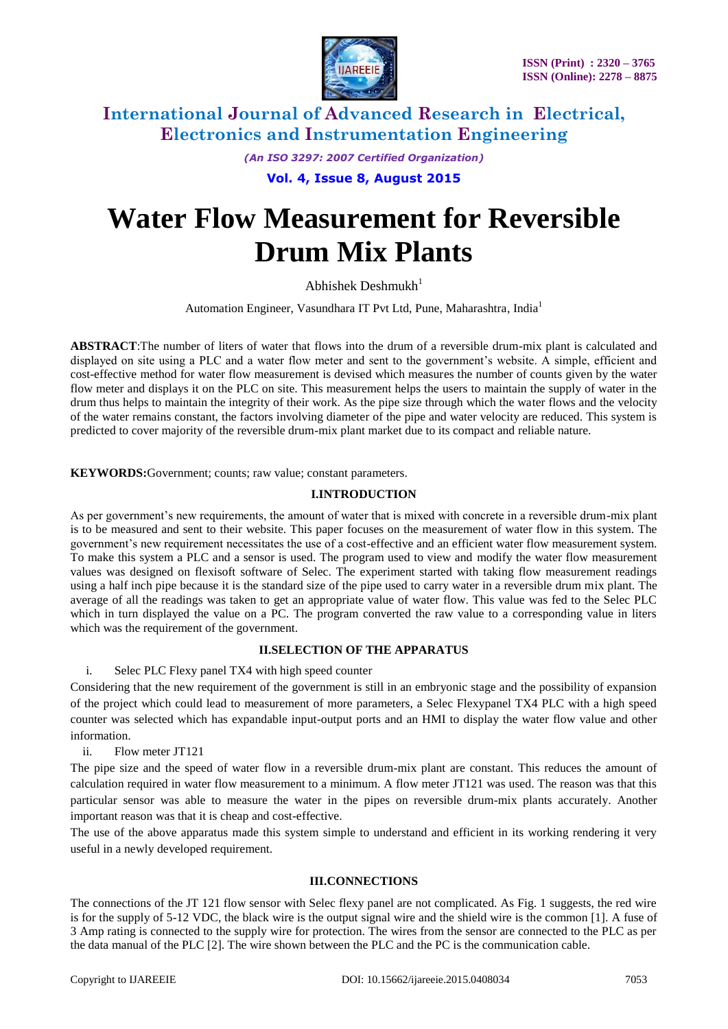

## **International Journal of Advanced Research in Electrical, Electronics and Instrumentation Engineering**

*(An ISO 3297: 2007 Certified Organization)*

**Vol. 4, Issue 8, August 2015**

# **Water Flow Measurement for Reversible Drum Mix Plants**

Abhishek Deshmukh $1$ 

Automation Engineer, Vasundhara IT Pvt Ltd, Pune, Maharashtra, India<sup>1</sup>

**ABSTRACT**:The number of liters of water that flows into the drum of a reversible drum-mix plant is calculated and displayed on site using a PLC and a water flow meter and sent to the government's website. A simple, efficient and cost-effective method for water flow measurement is devised which measures the number of counts given by the water flow meter and displays it on the PLC on site. This measurement helps the users to maintain the supply of water in the drum thus helps to maintain the integrity of their work. As the pipe size through which the water flows and the velocity of the water remains constant, the factors involving diameter of the pipe and water velocity are reduced. This system is predicted to cover majority of the reversible drum-mix plant market due to its compact and reliable nature.

**KEYWORDS:**Government; counts; raw value; constant parameters.

#### **I.INTRODUCTION**

As per government's new requirements, the amount of water that is mixed with concrete in a reversible drum-mix plant is to be measured and sent to their website. This paper focuses on the measurement of water flow in this system. The government's new requirement necessitates the use of a cost-effective and an efficient water flow measurement system. To make this system a PLC and a sensor is used. The program used to view and modify the water flow measurement values was designed on flexisoft software of Selec. The experiment started with taking flow measurement readings using a half inch pipe because it is the standard size of the pipe used to carry water in a reversible drum mix plant. The average of all the readings was taken to get an appropriate value of water flow. This value was fed to the Selec PLC which in turn displayed the value on a PC. The program converted the raw value to a corresponding value in liters which was the requirement of the government.

#### **II.SELECTION OF THE APPARATUS**

i. Selec PLC Flexy panel TX4 with high speed counter

Considering that the new requirement of the government is still in an embryonic stage and the possibility of expansion of the project which could lead to measurement of more parameters, a Selec Flexypanel TX4 PLC with a high speed counter was selected which has expandable input-output ports and an HMI to display the water flow value and other information.

ii. Flow meter JT121

The pipe size and the speed of water flow in a reversible drum-mix plant are constant. This reduces the amount of calculation required in water flow measurement to a minimum. A flow meter JT121 was used. The reason was that this particular sensor was able to measure the water in the pipes on reversible drum-mix plants accurately. Another important reason was that it is cheap and cost-effective.

The use of the above apparatus made this system simple to understand and efficient in its working rendering it very useful in a newly developed requirement.

#### **III.CONNECTIONS**

The connections of the JT 121 flow sensor with Selec flexy panel are not complicated. As Fig. 1 suggests, the red wire is for the supply of 5-12 VDC, the black wire is the output signal wire and the shield wire is the common [1]. A fuse of 3 Amp rating is connected to the supply wire for protection. The wires from the sensor are connected to the PLC as per the data manual of the PLC [2]. The wire shown between the PLC and the PC is the communication cable.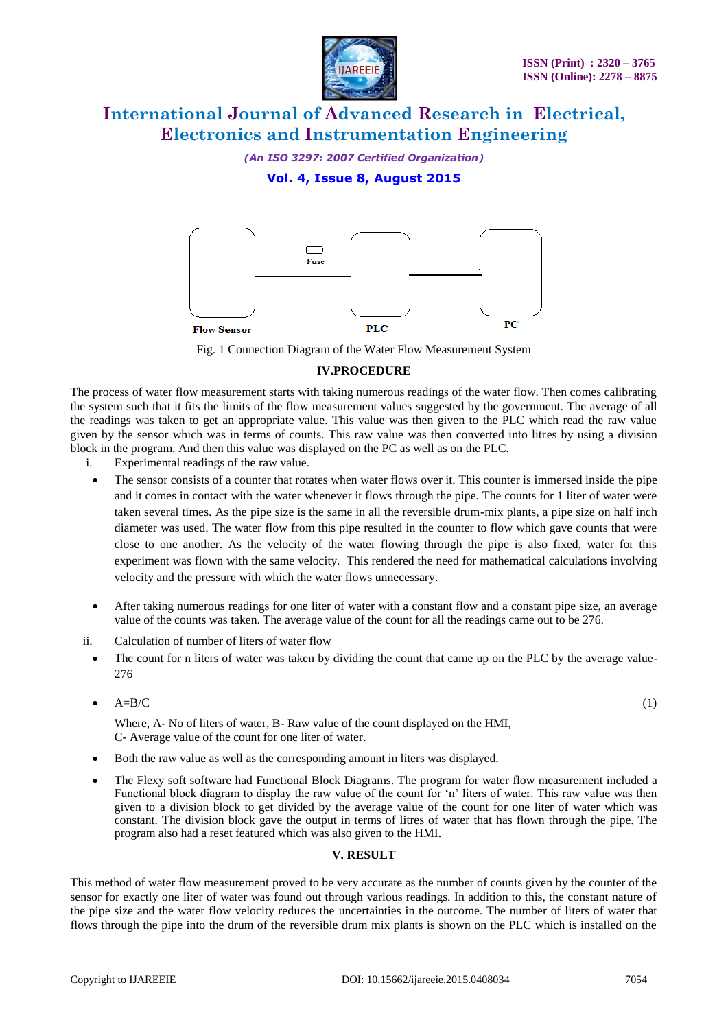

# **International Journal of Advanced Research in Electrical, Electronics and Instrumentation Engineering**

*(An ISO 3297: 2007 Certified Organization)*

## **Vol. 4, Issue 8, August 2015**



Fig. 1 Connection Diagram of the Water Flow Measurement System

#### **IV.PROCEDURE**

The process of water flow measurement starts with taking numerous readings of the water flow. Then comes calibrating the system such that it fits the limits of the flow measurement values suggested by the government. The average of all the readings was taken to get an appropriate value. This value was then given to the PLC which read the raw value given by the sensor which was in terms of counts. This raw value was then converted into litres by using a division block in the program. And then this value was displayed on the PC as well as on the PLC.

- i. Experimental readings of the raw value.
	- The sensor consists of a counter that rotates when water flows over it. This counter is immersed inside the pipe and it comes in contact with the water whenever it flows through the pipe. The counts for 1 liter of water were taken several times. As the pipe size is the same in all the reversible drum-mix plants, a pipe size on half inch diameter was used. The water flow from this pipe resulted in the counter to flow which gave counts that were close to one another. As the velocity of the water flowing through the pipe is also fixed, water for this experiment was flown with the same velocity. This rendered the need for mathematical calculations involving velocity and the pressure with which the water flows unnecessary.
- After taking numerous readings for one liter of water with a constant flow and a constant pipe size, an average value of the counts was taken. The average value of the count for all the readings came out to be 276.
- ii. Calculation of number of liters of water flow
	- The count for n liters of water was taken by dividing the count that came up on the PLC by the average value-276
	- $A=B/C$  (1)

Where, A- No of liters of water, B- Raw value of the count displayed on the HMI, C- Average value of the count for one liter of water.

- Both the raw value as well as the corresponding amount in liters was displayed.
- The Flexy soft software had Functional Block Diagrams. The program for water flow measurement included a Functional block diagram to display the raw value of the count for 'n' liters of water. This raw value was then given to a division block to get divided by the average value of the count for one liter of water which was constant. The division block gave the output in terms of litres of water that has flown through the pipe. The program also had a reset featured which was also given to the HMI.

#### **V. RESULT**

This method of water flow measurement proved to be very accurate as the number of counts given by the counter of the sensor for exactly one liter of water was found out through various readings. In addition to this, the constant nature of the pipe size and the water flow velocity reduces the uncertainties in the outcome. The number of liters of water that flows through the pipe into the drum of the reversible drum mix plants is shown on the PLC which is installed on the